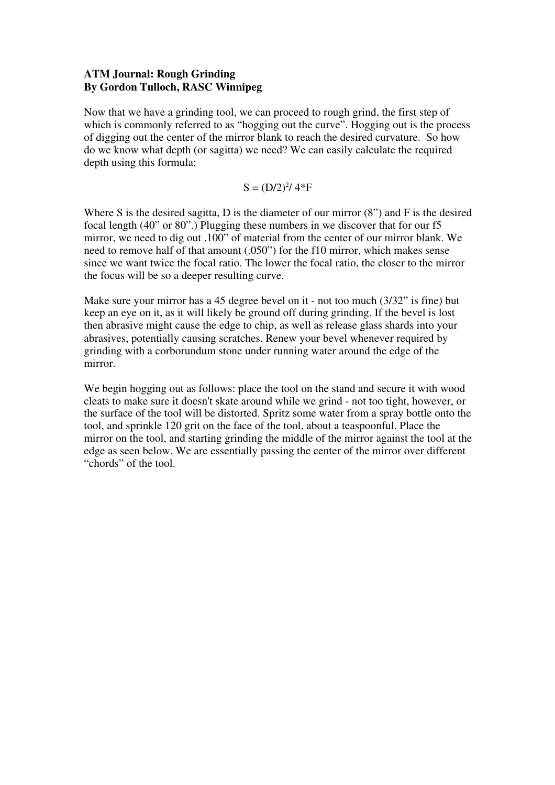## **ATM Journal: Rough Grinding By Gordon Tulloch, RASC Winnipeg**

Now that we have a grinding tool, we can proceed to rough grind, the first step of which is commonly referred to as "hogging out the curve". Hogging out is the process of digging out the center of the mirror blank to reach the desired curvature. So how do we know what depth (or sagitta) we need? We can easily calculate the required depth using this formula:

 $S = (D/2)^{2}/4*F$ 

Where S is the desired sagitta, D is the diameter of our mirror (8") and F is the desired focal length (40" or 80".) Plugging these numbers in we discover that for our f5 mirror, we need to dig out .100" of material from the center of our mirror blank. We need to remove half of that amount (.050") for the f10 mirror, which makes sense since we want twice the focal ratio. The lower the focal ratio, the closer to the mirror the focus will be so a deeper resulting curve.

Make sure your mirror has a 45 degree bevel on it - not too much (3/32" is fine) but keep an eye on it, as it will likely be ground off during grinding. If the bevel is lost then abrasive might cause the edge to chip, as well as release glass shards into your abrasives, potentially causing scratches. Renew your bevel whenever required by grinding with a corborundum stone under running water around the edge of the mirror.

We begin hogging out as follows: place the tool on the stand and secure it with wood cleats to make sure it doesn't skate around while we grind - not too tight, however, or the surface of the tool will be distorted. Spritz some water from a spray bottle onto the tool, and sprinkle 120 grit on the face of the tool, about a teaspoonful. Place the mirror on the tool, and starting grinding the middle of the mirror against the tool at the edge as seen below. We are essentially passing the center of the mirror over different "chords" of the tool.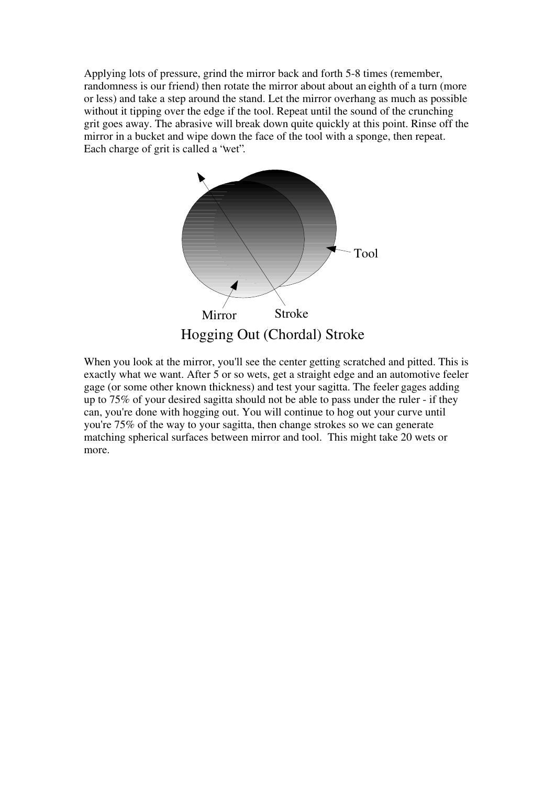Applying lots of pressure, grind the mirror back and forth 5-8 times (remember, randomness is our friend) then rotate the mirror about about an eighth of a turn (more or less) and take a step around the stand. Let the mirror overhang as much as possible without it tipping over the edge if the tool. Repeat until the sound of the crunching grit goes away. The abrasive will break down quite quickly at this point. Rinse off the mirror in a bucket and wipe down the face of the tool with a sponge, then repeat. Each charge of grit is called a "wet".



When you look at the mirror, you'll see the center getting scratched and pitted. This is exactly what we want. After 5 or so wets, get a straight edge and an automotive feeler gage (or some other known thickness) and test your sagitta. The feeler gages adding up to 75% of your desired sagitta should not be able to pass under the ruler - if they can, you're done with hogging out. You will continue to hog out your curve until you're 75% of the way to your sagitta, then change strokes so we can generate matching spherical surfaces between mirror and tool. This might take 20 wets or more.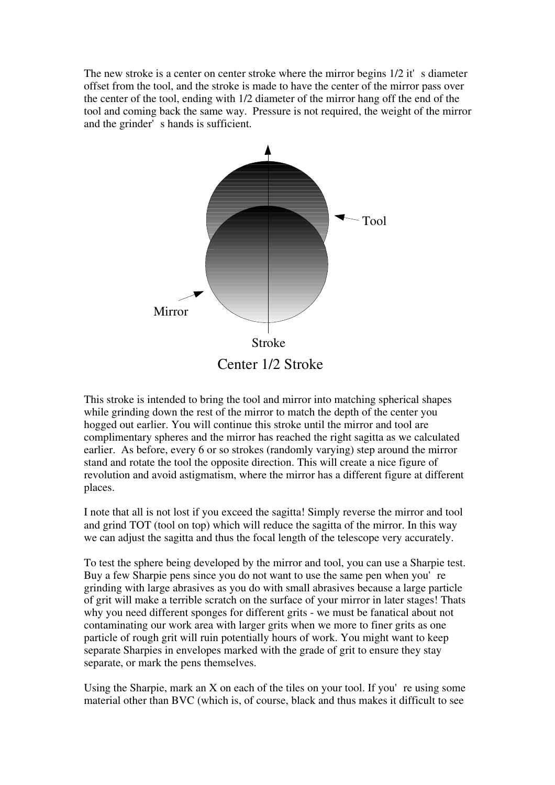The new stroke is a center on center stroke where the mirror begins  $1/2$  it's diameter offset from the tool, and the stroke is made to have the center of the mirror pass over the center of the tool, ending with 1/2 diameter of the mirror hang off the end of the tool and coming back the same way. Pressure is not required, the weight of the mirror and the grinder's hands is sufficient.



This stroke is intended to bring the tool and mirror into matching spherical shapes while grinding down the rest of the mirror to match the depth of the center you hogged out earlier. You will continue this stroke until the mirror and tool are complimentary spheres and the mirror has reached the right sagitta as we calculated earlier. As before, every 6 or so strokes (randomly varying) step around the mirror stand and rotate the tool the opposite direction. This will create a nice figure of revolution and avoid astigmatism, where the mirror has a different figure at different places.

I note that all is not lost if you exceed the sagitta! Simply reverse the mirror and tool and grind TOT (tool on top) which will reduce the sagitta of the mirror. In this way we can adjust the sagitta and thus the focal length of the telescope very accurately.

To test the sphere being developed by the mirror and tool, you can use a Sharpie test. Buy a few Sharpie pens since you do not want to use the same pen when you're grinding with large abrasives as you do with small abrasives because a large particle of grit will make a terrible scratch on the surface of your mirror in later stages! Thats why you need different sponges for different grits - we must be fanatical about not contaminating our work area with larger grits when we more to finer grits as one particle of rough grit will ruin potentially hours of work. You might want to keep separate Sharpies in envelopes marked with the grade of grit to ensure they stay separate, or mark the pens themselves.

Using the Sharpie, mark an  $X$  on each of the tiles on your tool. If you're using some material other than BVC (which is, of course, black and thus makes it difficult to see